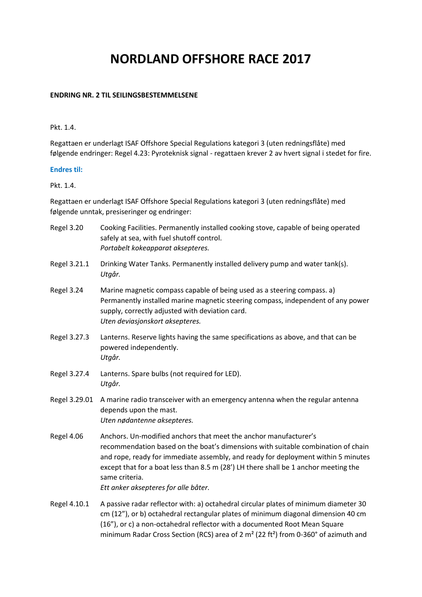# **NORDLAND OFFSHORE RACE 2017**

## **ENDRING NR. 2 TIL SEILINGSBESTEMMELSENE**

#### Pkt. 1.4.

Regattaen er underlagt ISAF Offshore Special Regulations kategori 3 (uten redningsflåte) med følgende endringer: Regel 4.23: Pyroteknisk signal - regattaen krever 2 av hvert signal i stedet for fire.

## **Endres til:**

## Pkt. 1.4.

Regattaen er underlagt ISAF Offshore Special Regulations kategori 3 (uten redningsflåte) med følgende unntak, presiseringer og endringer:

| Regel 3.20    | Cooking Facilities. Permanently installed cooking stove, capable of being operated<br>safely at sea, with fuel shutoff control.<br>Portabelt kokeapparat aksepteres.                                                                                                                                                                                                                       |
|---------------|--------------------------------------------------------------------------------------------------------------------------------------------------------------------------------------------------------------------------------------------------------------------------------------------------------------------------------------------------------------------------------------------|
| Regel 3.21.1  | Drinking Water Tanks. Permanently installed delivery pump and water tank(s).<br>Utgår.                                                                                                                                                                                                                                                                                                     |
| Regel 3.24    | Marine magnetic compass capable of being used as a steering compass. a)<br>Permanently installed marine magnetic steering compass, independent of any power<br>supply, correctly adjusted with deviation card.<br>Uten deviasjonskort aksepteres.                                                                                                                                          |
| Regel 3.27.3  | Lanterns. Reserve lights having the same specifications as above, and that can be<br>powered independently.<br>Utgår.                                                                                                                                                                                                                                                                      |
| Regel 3.27.4  | Lanterns. Spare bulbs (not required for LED).<br>Utgår.                                                                                                                                                                                                                                                                                                                                    |
| Regel 3.29.01 | A marine radio transceiver with an emergency antenna when the regular antenna<br>depends upon the mast.<br>Uten nødantenne aksepteres.                                                                                                                                                                                                                                                     |
| Regel 4.06    | Anchors. Un-modified anchors that meet the anchor manufacturer's<br>recommendation based on the boat's dimensions with suitable combination of chain<br>and rope, ready for immediate assembly, and ready for deployment within 5 minutes<br>except that for a boat less than 8.5 m (28') LH there shall be 1 anchor meeting the<br>same criteria.<br>Ett anker aksepteres for alle båter. |
| Regel 4.10.1  | A passive radar reflector with: a) octahedral circular plates of minimum diameter 30<br>cm (12"), or b) octahedral rectangular plates of minimum diagonal dimension 40 cm<br>(16"), or c) a non-octahedral reflector with a documented Root Mean Square                                                                                                                                    |

minimum Radar Cross Section (RCS) area of 2 m² (22 ft²) from 0-360° of azimuth and